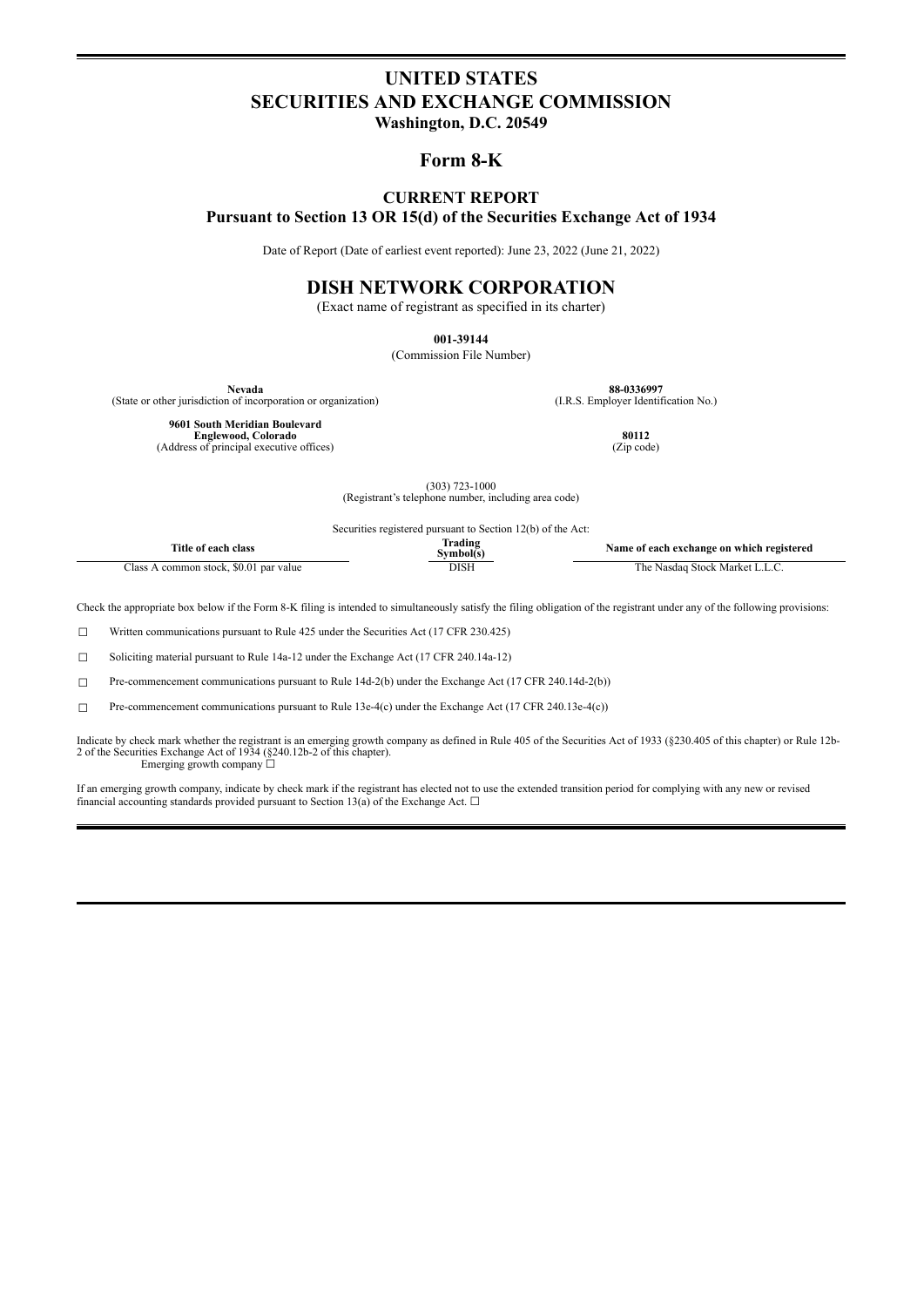# **UNITED STATES SECURITIES AND EXCHANGE COMMISSION**

**Washington, D.C. 20549**

## **Form 8-K**

### **CURRENT REPORT Pursuant to Section 13 OR 15(d) of the Securities Exchange Act of 1934**

Date of Report (Date of earliest event reported): June 23, 2022 (June 21, 2022)

# **DISH NETWORK CORPORATION**

(Exact name of registrant as specified in its charter)

**001-39144**

(Commission File Number)

(State or other jurisdiction of incorporation or organization)

**Nevada 88-0336997**<br> **1.R.S. Employer Identification No.** (I.R.S. Employer Identification No.)

**9601 South Meridian Boulevard Englewood, Colorado 80112**<br>
(Address of principal executive offices) (Zip code) (Zip code)

(303) 723-1000 (Registrant's telephone number, including area code)

Securities registered pursuant to Section 12(b) of the Act:

| -rîtle of each                                   | radins   | t each exchange on which registered |
|--------------------------------------------------|----------|-------------------------------------|
| class                                            | svmholís | Name of                             |
| -<br>. \$0.01 par value<br>lass<br>common stock. | DISF     | Stock Market L<br>`he<br>Nasdad     |

Check the appropriate box below if the Form 8-K filing is intended to simultaneously satisfy the filing obligation of the registrant under any of the following provisions:

☐ Written communications pursuant to Rule 425 under the Securities Act (17 CFR 230.425)

☐ Soliciting material pursuant to Rule 14a-12 under the Exchange Act (17 CFR 240.14a-12)

☐ Pre-commencement communications pursuant to Rule 14d-2(b) under the Exchange Act (17 CFR 240.14d-2(b))

 $\Box$  Pre-commencement communications pursuant to Rule 13e-4(c) under the Exchange Act (17 CFR 240.13e-4(c))

Indicate by check mark whether the registrant is an emerging growth company as defined in Rule 405 of the Securities Act of 1933 (§230.405 of this chapter) or Rule 12b-<br>2 of the Securities Exchange Act of 1934 (§240.12b-2 Emerging growth company ☐

If an emerging growth company, indicate by check mark if the registrant has elected not to use the extended transition period for complying with any new or revised financial accounting standards provided pursuant to Section 13(a) of the Exchange Act.  $\square$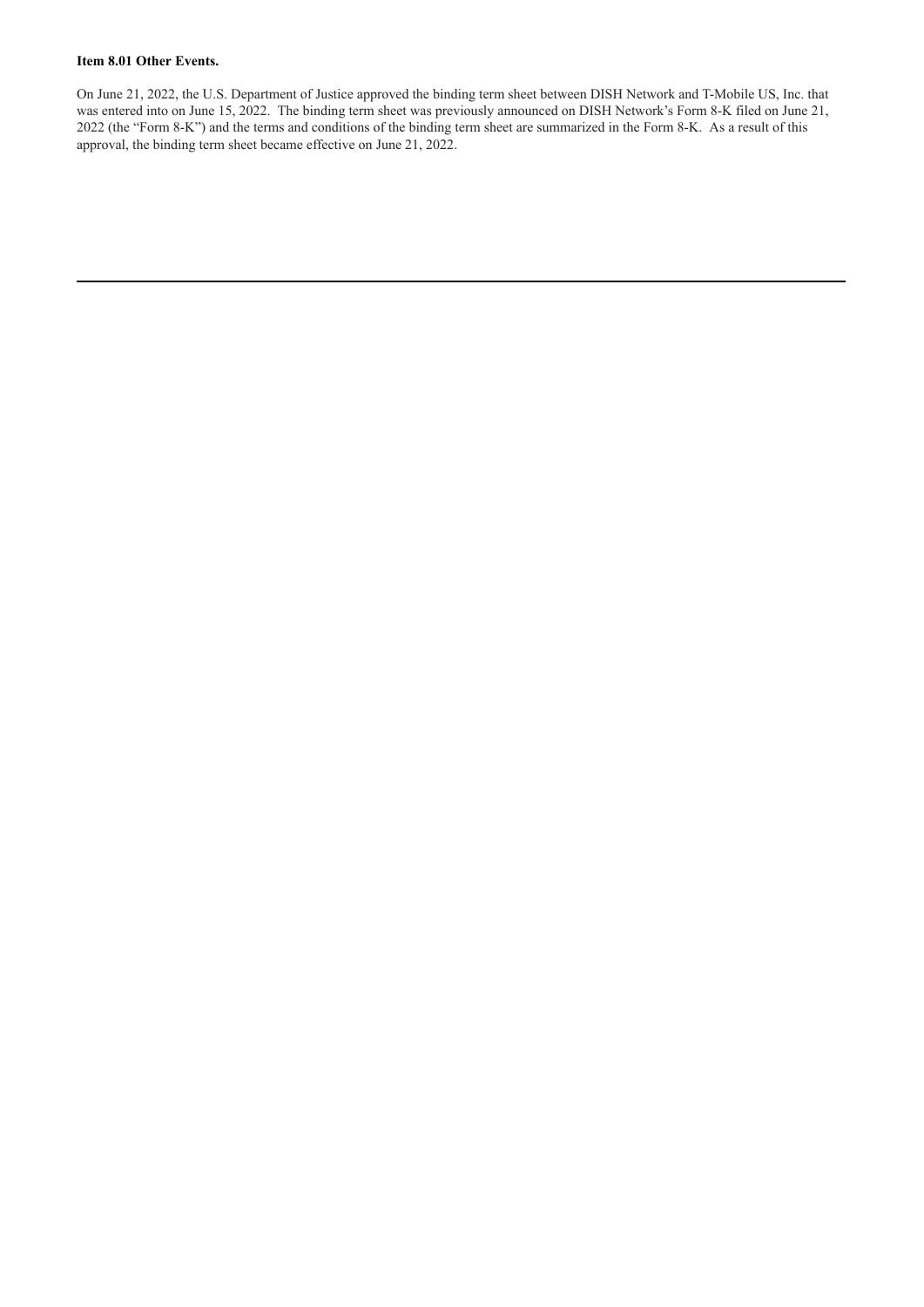#### **Item 8.01 Other Events.**

On June 21, 2022, the U.S. Department of Justice approved the binding term sheet between DISH Network and T-Mobile US, Inc. that was entered into on June 15, 2022. The binding term sheet was previously announced on DISH Network's Form 8-K filed on June 21, 2022 (the "Form 8-K") and the terms and conditions of the binding term sheet are summarized in the Form 8-K. As a result of this approval, the binding term sheet became effective on June 21, 2022.